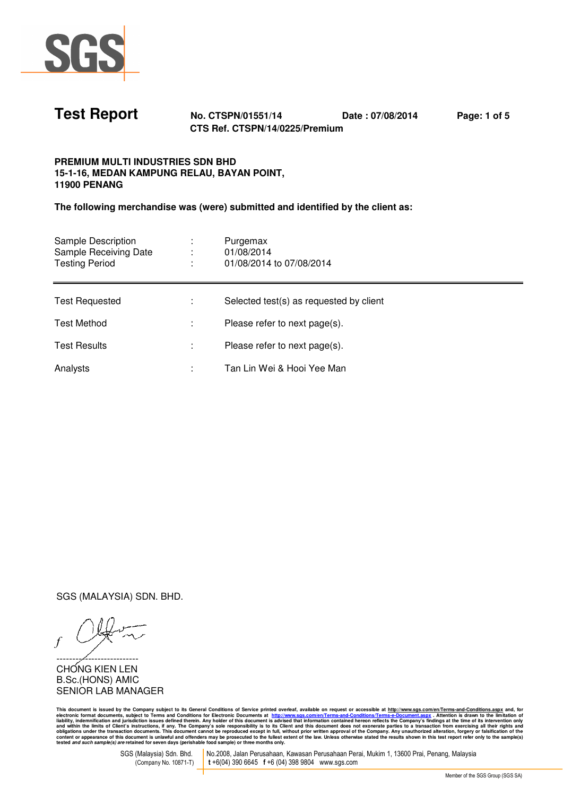

**Test Report No. CTSPN/01551/14 Date : 07/08/2014 Page: 1 of 5 CTS Ref. CTSPN/14/0225/Premium** 

## **PREMIUM MULTI INDUSTRIES SDN BHD 15-1-16, MEDAN KAMPUNG RELAU, BAYAN POINT, 11900 PENANG**

**The following merchandise was (were) submitted and identified by the client as:** 

| Sample Description<br>Sample Receiving Date<br><b>Testing Period</b> | Purgemax<br>01/08/2014<br>01/08/2014 to 07/08/2014 |
|----------------------------------------------------------------------|----------------------------------------------------|
| <b>Test Requested</b>                                                | Selected test(s) as requested by client            |
| <b>Test Method</b>                                                   | Please refer to next page(s).                      |
| <b>Test Results</b>                                                  | Please refer to next page(s).                      |
| Analysts                                                             | Tan Lin Wei & Hooi Yee Man                         |

SGS (MALAYSIA) SDN. BHD.

*f*

--------/----------------CHONG KIEN LEN B.Sc.(HONS) AMIC SENIOR LAB MANAGER

This document is issued by the Company subject to its General Conditions of Service printed overleaf, available on request or accessible at <u>http://www.ste.com/en/Terms-and-Conditions?Ferms-e-Document.aspx . Attention is d</u>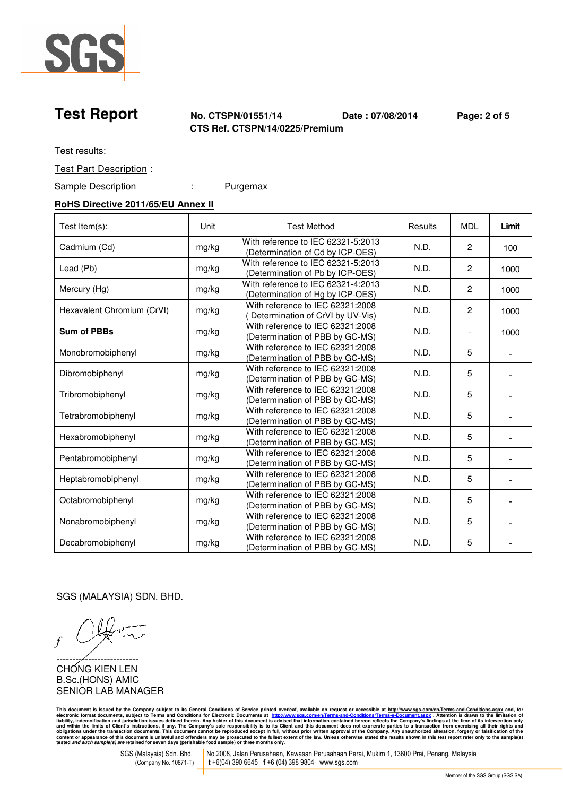

**Test Report No. CTSPN/01551/14 Date : 07/08/2014 Page: 2 of 5 CTS Ref. CTSPN/14/0225/Premium** 

Test results:

Test Part Description :

Sample Description : Purgemax

### **RoHS Directive 2011/65/EU Annex II**

| Test Item(s):              | Unit  | <b>Test Method</b>                                                     | Results | <b>MDL</b>     | Limit |
|----------------------------|-------|------------------------------------------------------------------------|---------|----------------|-------|
| Cadmium (Cd)               | mg/kg | With reference to IEC 62321-5:2013<br>(Determination of Cd by ICP-OES) | N.D.    | $\overline{2}$ | 100   |
| Lead (Pb)                  | mg/kg | With reference to IEC 62321-5:2013<br>(Determination of Pb by ICP-OES) | N.D.    | $\overline{c}$ | 1000  |
| Mercury (Hg)               | mg/kg | With reference to IEC 62321-4:2013<br>(Determination of Hg by ICP-OES) | N.D.    | $\overline{2}$ | 1000  |
| Hexavalent Chromium (CrVI) | mg/kg | With reference to IEC 62321:2008<br>Determination of CrVI by UV-Vis)   | N.D.    | $\overline{c}$ | 1000  |
| <b>Sum of PBBs</b>         | mg/kg | With reference to IEC 62321:2008<br>(Determination of PBB by GC-MS)    | N.D.    |                | 1000  |
| Monobromobiphenyl          | mg/kg | With reference to IEC 62321:2008<br>(Determination of PBB by GC-MS)    | N.D.    | 5              |       |
| Dibromobiphenyl            | mg/kg | With reference to IEC 62321:2008<br>(Determination of PBB by GC-MS)    | N.D.    | 5              |       |
| Tribromobiphenyl           | mg/kg | With reference to IEC 62321:2008<br>(Determination of PBB by GC-MS)    | N.D.    | 5              |       |
| Tetrabromobiphenyl         | mg/kg | With reference to IEC 62321:2008<br>(Determination of PBB by GC-MS)    | N.D.    | 5              |       |
| Hexabromobiphenyl          | mg/kg | With reference to IEC 62321:2008<br>(Determination of PBB by GC-MS)    | N.D.    | 5              |       |
| Pentabromobiphenyl         | mg/kg | With reference to IEC 62321:2008<br>(Determination of PBB by GC-MS)    | N.D.    | 5              |       |
| Heptabromobiphenyl         | mg/kg | With reference to IEC 62321:2008<br>(Determination of PBB by GC-MS)    | N.D.    | 5              |       |
| Octabromobiphenyl          | mg/kg | With reference to IEC 62321:2008<br>(Determination of PBB by GC-MS)    | N.D.    | 5              |       |
| Nonabromobiphenyl          | mg/kg | With reference to IEC 62321:2008<br>(Determination of PBB by GC-MS)    | N.D.    | 5              |       |
| Decabromobiphenyl          | mg/kg | With reference to IEC 62321:2008<br>(Determination of PBB by GC-MS)    | N.D.    | 5              |       |

SGS (MALAYSIA) SDN. BHD.

*f*

--------/----------------CHONG KIEN LEN B.Sc.(HONS) AMIC SENIOR LAB MANAGER

This document is issued by the Company subject to its General Conditions of Service printed overleaf, available on request or accessible at <u>http://www.ste.com/en/Terms-and-Conditions?Ferms-e-Document.aspx . Attention is d</u>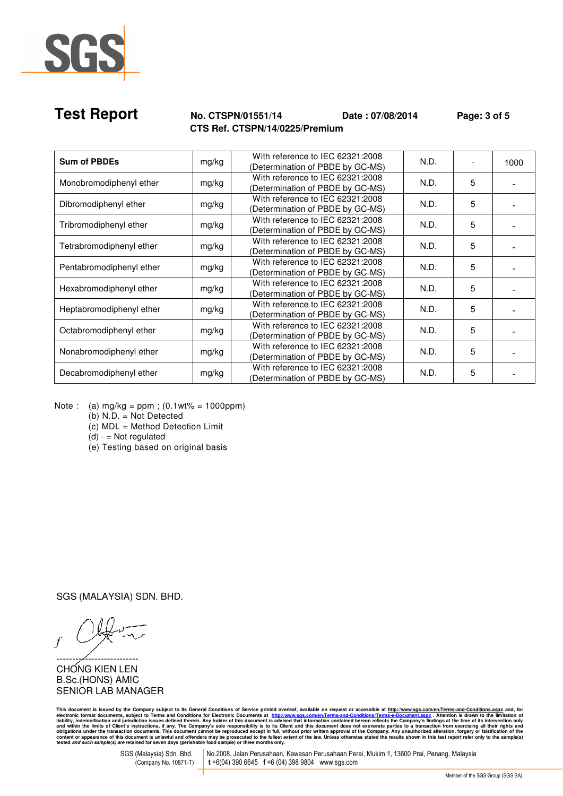

# **Test Report No. CTSPN/01551/14 Date : 07/08/2014 Page: 3 of 5 CTS Ref. CTSPN/14/0225/Premium**

| <b>Sum of PBDEs</b>      | mg/kg | With reference to IEC 62321:2008<br>(Determination of PBDE by GC-MS) | N.D. |   | 1000 |
|--------------------------|-------|----------------------------------------------------------------------|------|---|------|
| Monobromodiphenyl ether  | mg/kg | With reference to IEC 62321:2008<br>(Determination of PBDE by GC-MS) | N.D. | 5 |      |
| Dibromodiphenyl ether    | mg/kg | With reference to IEC 62321:2008<br>(Determination of PBDE by GC-MS) | N.D. | 5 |      |
| Tribromodiphenyl ether   | mg/kg | With reference to IEC 62321:2008<br>(Determination of PBDE by GC-MS) | N.D. | 5 |      |
| Tetrabromodiphenyl ether | mg/kg | With reference to IEC 62321:2008<br>(Determination of PBDE by GC-MS) | N.D. | 5 |      |
| Pentabromodiphenyl ether | mg/kg | With reference to IEC 62321:2008<br>(Determination of PBDE by GC-MS) | N.D. | 5 |      |
| Hexabromodiphenyl ether  | mg/kg | With reference to IEC 62321:2008<br>(Determination of PBDE by GC-MS) | N.D. | 5 |      |
| Heptabromodiphenyl ether | mg/kg | With reference to IEC 62321:2008<br>(Determination of PBDE by GC-MS) | N.D. | 5 |      |
| Octabromodiphenyl ether  | mg/kg | With reference to IEC 62321:2008<br>(Determination of PBDE by GC-MS) | N.D. | 5 |      |
| Nonabromodiphenyl ether  | mg/kg | With reference to IEC 62321:2008<br>(Determination of PBDE by GC-MS) | N.D. | 5 |      |
| Decabromodiphenyl ether  | mg/kg | With reference to IEC 62321:2008<br>(Determination of PBDE by GC-MS) | N.D. | 5 |      |

Note : (a)  $mg/kg = ppm$ ; (0.1wt% = 1000ppm)

(b) N.D. = Not Detected

(c) MDL = Method Detection Limit

 $(d) - Not$  regulated

(e) Testing based on original basis

SGS (MALAYSIA) SDN. BHD.

*f*

--------/----------------CHONG KIEN LEN B.Sc.(HONS) AMIC SENIOR LAB MANAGER

This document is issued by the Company subject to its General Conditions of Service printed overleaf, available on request or accessible at <u>http://www.ste.com/en/Terms-and-Conditions?Ferms-e-Document.aspx . Attention is d</u>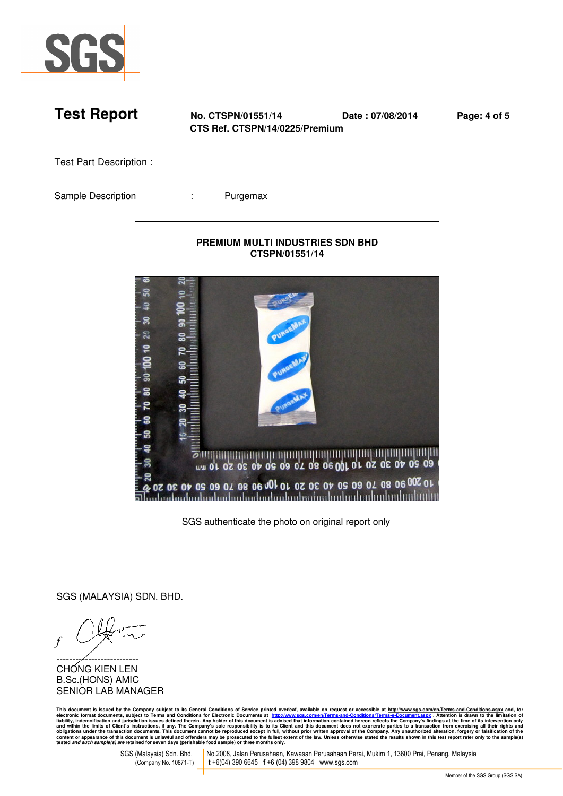

**Test Report No. CTSPN/01551/14 Date : 07/08/2014 Page: 4 of 5 CTS Ref. CTSPN/14/0225/Premium** 

Test Part Description :

Sample Description **:** Purgemax



SGS authenticate the photo on original report only

SGS (MALAYSIA) SDN. BHD.

*f*

--------/----------------CHONG KIEN LEN B.Sc.(HONS) AMIC SENIOR LAB MANAGER

This document is issued by the Company subject to its General Conditions of Service printed overleaf, available on request or accessible at <u>http://www.ste.com/en/Terms-and-Conditions?Ferms-e-Document.aspx . Attention is d</u>